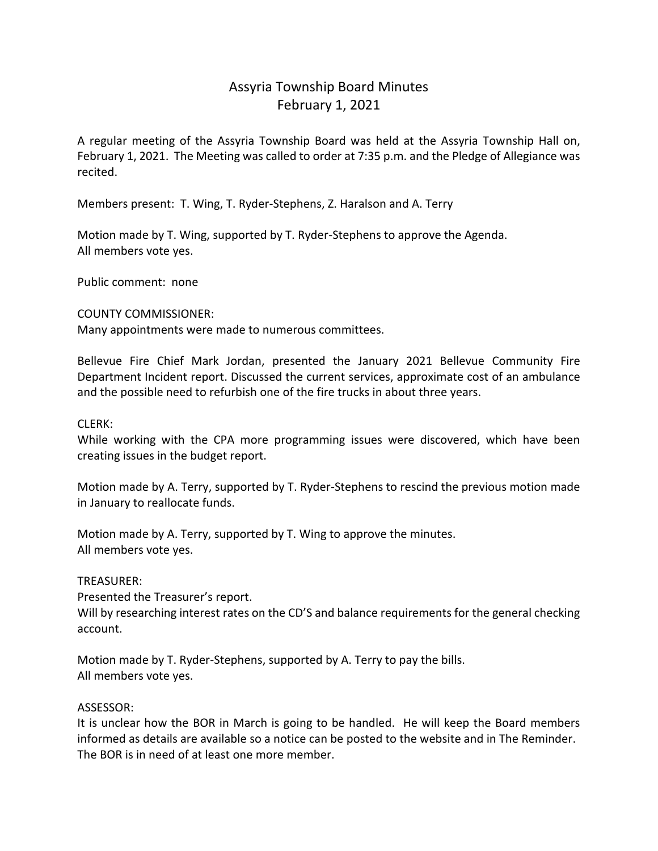# Assyria Township Board Minutes February 1, 2021

A regular meeting of the Assyria Township Board was held at the Assyria Township Hall on, February 1, 2021. The Meeting was called to order at 7:35 p.m. and the Pledge of Allegiance was recited.

Members present: T. Wing, T. Ryder-Stephens, Z. Haralson and A. Terry

Motion made by T. Wing, supported by T. Ryder-Stephens to approve the Agenda. All members vote yes.

Public comment: none

## COUNTY COMMISSIONER:

Many appointments were made to numerous committees.

Bellevue Fire Chief Mark Jordan, presented the January 2021 Bellevue Community Fire Department Incident report. Discussed the current services, approximate cost of an ambulance and the possible need to refurbish one of the fire trucks in about three years.

## $CI$ FRK:

While working with the CPA more programming issues were discovered, which have been creating issues in the budget report.

Motion made by A. Terry, supported by T. Ryder-Stephens to rescind the previous motion made in January to reallocate funds.

Motion made by A. Terry, supported by T. Wing to approve the minutes. All members vote yes.

### TREASURER:

Presented the Treasurer's report.

Will by researching interest rates on the CD'S and balance requirements for the general checking account.

Motion made by T. Ryder-Stephens, supported by A. Terry to pay the bills. All members vote yes.

### ASSESSOR:

It is unclear how the BOR in March is going to be handled. He will keep the Board members informed as details are available so a notice can be posted to the website and in The Reminder. The BOR is in need of at least one more member.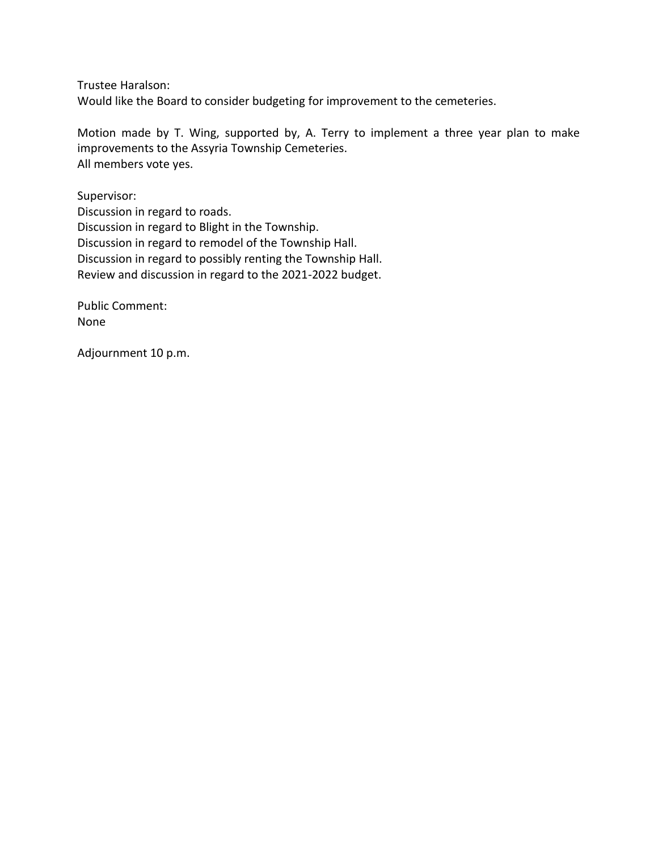Trustee Haralson:

Would like the Board to consider budgeting for improvement to the cemeteries.

Motion made by T. Wing, supported by, A. Terry to implement a three year plan to make improvements to the Assyria Township Cemeteries. All members vote yes.

Supervisor:

Discussion in regard to roads. Discussion in regard to Blight in the Township. Discussion in regard to remodel of the Township Hall. Discussion in regard to possibly renting the Township Hall. Review and discussion in regard to the 2021-2022 budget.

Public Comment: None

Adjournment 10 p.m.